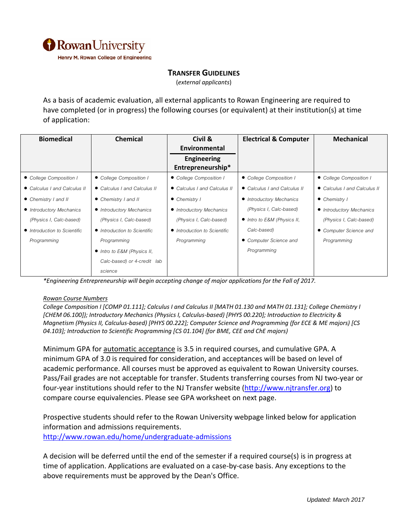

## **TRANSFER GUIDELINES**

(*external applicants*)

As a basis of academic evaluation, all external applicants to Rowan Engineering are required to have completed (or in progress) the following courses (or equivalent) at their institution(s) at time of application:

| <b>Biomedical</b>            | <b>Chemical</b>              | Civil &                      | <b>Electrical &amp; Computer</b> | Mechanical                   |
|------------------------------|------------------------------|------------------------------|----------------------------------|------------------------------|
|                              |                              | Environmental                |                                  |                              |
|                              |                              | <b>Engineering</b>           |                                  |                              |
|                              |                              | Entrepreneurship*            |                                  |                              |
| • College Composition I      | • College Composition I      | • College Composition I      | • College Composition I          | • College Composition I      |
| • Calculus I and Calculus II | • Calculus I and Calculus II | • Calculus I and Calculus II | • Calculus I and Calculus II     | • Calculus I and Calculus II |
| • Chemistry I and II         | • Chemistry I and II         | • Chemistry I                | • Introductory Mechanics         | • Chemistry I                |
| • Introductory Mechanics     | • Introductory Mechanics     | • Introductory Mechanics     | (Physics I, Calc-based)          | • Introductory Mechanics     |
| (Physics I, Calc-based)      | (Physics I, Calc-based)      | (Physics I, Calc-based)      | • Intro to E&M (Physics II,      | (Physics I, Calc-based)      |
| • Introduction to Scientific | • Introduction to Scientific | • Introduction to Scientific | Calc-based)                      | • Computer Science and       |
| Programming                  | Programming                  | Programming                  | • Computer Science and           | Programming                  |
|                              | • Intro to E&M (Physics II,  |                              | Programming                      |                              |
|                              | Calc-based) or 4-credit lab  |                              |                                  |                              |
|                              | science                      |                              |                                  |                              |

*\*Engineering Entrepreneurship will begin accepting change of major applications for the Fall of 2017.*

## *Rowan Course Numbers*

College Composition I [COMP 01.111]; Calculus I and Calculus II [MATH 01.130 and MATH 01.131]; College Chemistry I *[CHEM 06.100]); Introductory Mechanics (Physics I, Calculus‐based) [PHYS 00.220]; Introduction to Electricity &* Magnetism (Physics II, Calculus-based) [PHYS 00.222]; Computer Science and Programming (for ECE & ME majors) [CS *04.103]; Introduction to Scientific Programming [CS 01.104] (for BME, CEE and ChE majors)* 

Minimum GPA for automatic acceptance is 3.5 in required courses, and cumulative GPA. A minimum GPA of 3.0 is required for consideration, and acceptances will be based on level of academic performance. All courses must be approved as equivalent to Rowan University courses. Pass/Fail grades are not acceptable for transfer. Students transferring courses from NJ two‐year or four-year institutions should refer to the NJ Transfer website (http://www.njtransfer.org) to compare course equivalencies. Please see GPA worksheet on next page.

Prospective students should refer to the Rowan University webpage linked below for application information and admissions requirements. http://www.rowan.edu/home/undergraduate‐admissions

A decision will be deferred until the end of the semester if a required course(s) is in progress at time of application. Applications are evaluated on a case‐by‐case basis. Any exceptions to the above requirements must be approved by the Dean's Office.